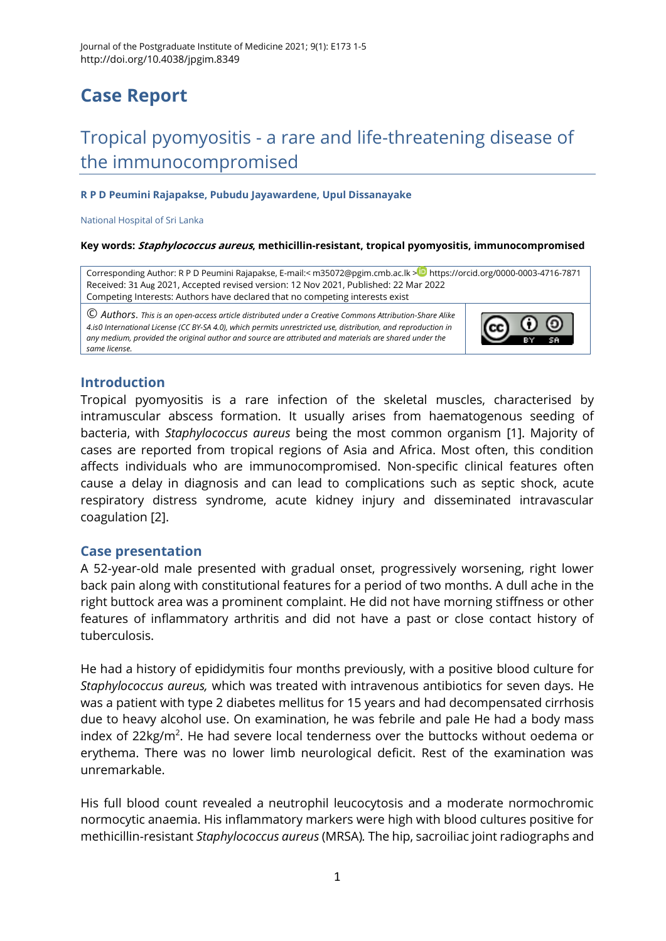# **Case Report**

# Tropical pyomyositis - a rare and life-threatening disease of the immunocompromised

#### **R P D Peumini Rajapakse, Pubudu Jayawardene, Upul Dissanayake**

National Hospital of Sri Lanka

#### **Key words: Staphylococcus aureus, methicillin-resistant, tropical pyomyositis, immunocompromised**

Corresponding Author: R P D Peumini Rajapakse, E-mail:< [m35072@pgim.cmb.ac.lk](mailto:m35072@pgim.cmb.ac.lk) ><sup>10</sup> <https://orcid.org/0000-0003-4716-7871> Received: 31 Aug 2021, Accepted revised version: 12 Nov 2021, Published: 22 Mar 2022 Competing Interests: Authors have declared that no competing interests exist

© *Authors*. *This is an open-access article distributed under a [Creative Commons Attribution-Share Alike](http://creativecommons.org/licenses/by-sa/4.0/)  [4.is0 International License](http://creativecommons.org/licenses/by-sa/4.0/) (CC BY-SA 4.0), which permits unrestricted use, distribution, and reproduction in any medium, provided the original author and source are attributed and materials are shared under the same license.* 



# **Introduction**

Tropical pyomyositis is a rare infection of the skeletal muscles, characterised by intramuscular abscess formation. It usually arises from haematogenous seeding of bacteria, with *Staphylococcus aureus* being the most common organism [\[1\]](#page-3-0). Majority of cases are reported from tropical regions of Asia and Africa. Most often, this condition affects individuals who are immunocompromised. Non-specific clinical features often cause a delay in diagnosis and can lead to complications such as septic shock, acute respiratory distress syndrome, acute kidney injury and disseminated intravascular coagulation [\[2\]](#page-3-1).

### **Case presentation**

A 52-year-old male presented with gradual onset, progressively worsening, right lower back pain along with constitutional features for a period of two months. A dull ache in the right buttock area was a prominent complaint. He did not have morning stiffness or other features of inflammatory arthritis and did not have a past or close contact history of tuberculosis.

He had a history of epididymitis four months previously, with a positive blood culture for *Staphylococcus aureus,* which was treated with intravenous antibiotics for seven days. He was a patient with type 2 diabetes mellitus for 15 years and had decompensated cirrhosis due to heavy alcohol use. On examination, he was febrile and pale He had a body mass index of 22 $kg/m<sup>2</sup>$ . He had severe local tenderness over the buttocks without oedema or erythema. There was no lower limb neurological deficit. Rest of the examination was unremarkable.

His full blood count revealed a neutrophil leucocytosis and a moderate normochromic normocytic anaemia. His inflammatory markers were high with blood cultures positive for methicillin-resistant *Staphylococcus aureus* (MRSA)*.* The hip, sacroiliac joint radiographs and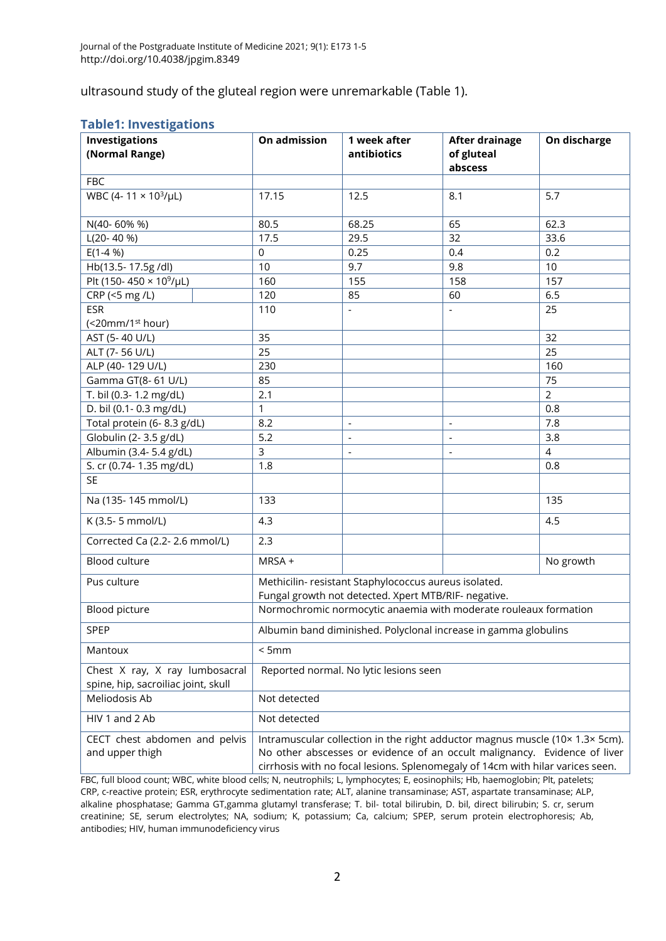ultrasound study of the gluteal region were unremarkable (Table 1).

#### **Table1: Investigations**

| -----------<br><b>Investigations</b><br>(Normal Range)                | On admission                                                                                                                                                                                                                                | 1 week after<br>antibiotics | <b>After drainage</b><br>of gluteal<br>abscess | On discharge   |
|-----------------------------------------------------------------------|---------------------------------------------------------------------------------------------------------------------------------------------------------------------------------------------------------------------------------------------|-----------------------------|------------------------------------------------|----------------|
| <b>FBC</b>                                                            |                                                                                                                                                                                                                                             |                             |                                                |                |
| WBC (4-11 × 103/µL)                                                   | 17.15                                                                                                                                                                                                                                       | 12.5                        | 8.1                                            | 5.7            |
| N(40-60% %)                                                           | 80.5                                                                                                                                                                                                                                        | 68.25                       | 65                                             | 62.3           |
| $L(20-40%)$                                                           | 17.5                                                                                                                                                                                                                                        | 29.5                        | 32                                             | 33.6           |
| $E(1-4%)$                                                             | $\mathbf 0$                                                                                                                                                                                                                                 | 0.25                        | 0.4                                            | 0.2            |
| Hb(13.5-17.5g/dl)                                                     | 10                                                                                                                                                                                                                                          | 9.7                         | 9.8                                            | 10             |
| Plt (150-450 × 10 <sup>9</sup> /µL)                                   | 160                                                                                                                                                                                                                                         | 155                         | 158                                            | 157            |
| CRP (<5 mg /L)                                                        | 120                                                                                                                                                                                                                                         | 85                          | 60                                             | 6.5            |
| <b>ESR</b>                                                            | 110                                                                                                                                                                                                                                         |                             |                                                | 25             |
| (<20mm/1 <sup>st</sup> hour)                                          |                                                                                                                                                                                                                                             |                             |                                                |                |
| AST (5-40 U/L)                                                        | 35                                                                                                                                                                                                                                          |                             |                                                | 32             |
| ALT (7-56 U/L)                                                        | 25                                                                                                                                                                                                                                          |                             |                                                | 25             |
| ALP (40-129 U/L)                                                      | 230                                                                                                                                                                                                                                         |                             |                                                | 160            |
| Gamma GT(8-61 U/L)                                                    | 85                                                                                                                                                                                                                                          |                             |                                                | 75             |
| T. bil (0.3-1.2 mg/dL)                                                | 2.1                                                                                                                                                                                                                                         |                             |                                                | $\overline{2}$ |
| D. bil (0.1- 0.3 mg/dL)                                               | 1                                                                                                                                                                                                                                           |                             |                                                | 0.8            |
| Total protein (6-8.3 g/dL)                                            | 8.2                                                                                                                                                                                                                                         | $\overline{\phantom{a}}$    | $\overline{\phantom{a}}$                       | 7.8            |
| Globulin (2-3.5 g/dL)                                                 | 5.2                                                                                                                                                                                                                                         | $\overline{\phantom{a}}$    | $\overline{a}$                                 | 3.8            |
| Albumin (3.4-5.4 g/dL)                                                | 3                                                                                                                                                                                                                                           | $\overline{a}$              | $\overline{a}$                                 | $\overline{4}$ |
| S. cr (0.74-1.35 mg/dL)                                               | 1.8                                                                                                                                                                                                                                         |                             |                                                | 0.8            |
| <b>SE</b>                                                             |                                                                                                                                                                                                                                             |                             |                                                |                |
| Na (135-145 mmol/L)                                                   | 133                                                                                                                                                                                                                                         |                             |                                                | 135            |
| K (3.5-5 mmol/L)                                                      | 4.3                                                                                                                                                                                                                                         |                             |                                                | 4.5            |
| Corrected Ca (2.2-2.6 mmol/L)                                         | 2.3                                                                                                                                                                                                                                         |                             |                                                |                |
| Blood culture                                                         | MRSA +                                                                                                                                                                                                                                      |                             |                                                | No growth      |
| Pus culture                                                           | Methicilin- resistant Staphylococcus aureus isolated.<br>Fungal growth not detected. Xpert MTB/RIF- negative.                                                                                                                               |                             |                                                |                |
| Blood picture                                                         | Normochromic normocytic anaemia with moderate rouleaux formation                                                                                                                                                                            |                             |                                                |                |
| SPEP                                                                  | Albumin band diminished. Polyclonal increase in gamma globulins                                                                                                                                                                             |                             |                                                |                |
| Mantoux                                                               | < 5mm                                                                                                                                                                                                                                       |                             |                                                |                |
| Chest X ray, X ray lumbosacral<br>spine, hip, sacroiliac joint, skull | Reported normal. No lytic lesions seen                                                                                                                                                                                                      |                             |                                                |                |
| Meliodosis Ab                                                         | Not detected                                                                                                                                                                                                                                |                             |                                                |                |
| HIV 1 and 2 Ab                                                        | Not detected                                                                                                                                                                                                                                |                             |                                                |                |
| CECT chest abdomen and pelvis<br>and upper thigh                      | Intramuscular collection in the right adductor magnus muscle (10x 1.3x 5cm).<br>No other abscesses or evidence of an occult malignancy. Evidence of liver<br>cirrhosis with no focal lesions. Splenomegaly of 14cm with hilar varices seen. |                             |                                                |                |

FBC, full blood count; WBC, white blood cells; N, neutrophils; L, lymphocytes; E, eosinophils; Hb, haemoglobin; Plt, patelets; CRP, c-reactive protein; ESR, erythrocyte sedimentation rate; ALT, alanine transaminase; AST, aspartate transaminase; ALP, alkaline phosphatase; Gamma GT,gamma glutamyl transferase; T. bil- total bilirubin, D. bil, direct bilirubin; S. cr, serum creatinine; SE, serum electrolytes; NA, sodium; K, potassium; Ca, calcium; SPEP, serum protein electrophoresis; Ab, antibodies; HIV, human immunodeficiency virus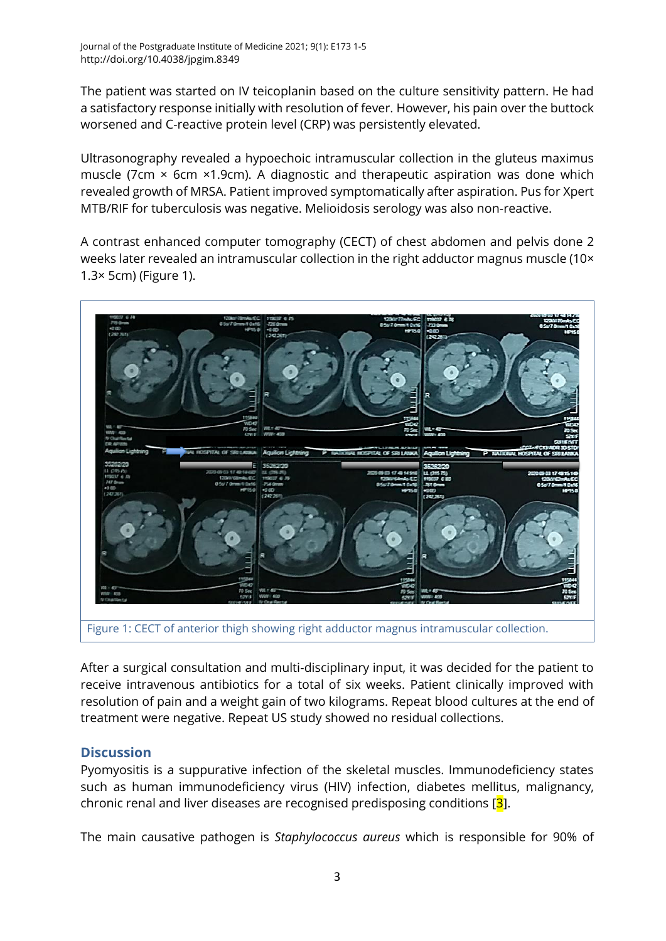The patient was started on IV teicoplanin based on the culture sensitivity pattern. He had a satisfactory response initially with resolution of fever. However, his pain over the buttock worsened and C-reactive protein level (CRP) was persistently elevated.

Ultrasonography revealed a hypoechoic intramuscular collection in the gluteus maximus muscle (7cm  $\times$  6cm  $\times$ 1.9cm). A diagnostic and therapeutic aspiration was done which revealed growth of MRSA. Patient improved symptomatically after aspiration. Pus for Xpert MTB/RIF for tuberculosis was negative. Melioidosis serology was also non-reactive.

A contrast enhanced computer tomography (CECT) of chest abdomen and pelvis done 2 weeks later revealed an intramuscular collection in the right adductor magnus muscle (10× 1.3× 5cm) (Figure 1).



After a surgical consultation and multi-disciplinary input, it was decided for the patient to receive intravenous antibiotics for a total of six weeks. Patient clinically improved with resolution of pain and a weight gain of two kilograms. Repeat blood cultures at the end of treatment were negative. Repeat US study showed no residual collections.

## **Discussion**

Pyomyositis is a suppurative infection of the skeletal muscles. Immunodeficiency states such as human immunodeficiency virus (HIV) infection, diabetes mellitus, malignancy, chronic renal and liver diseases are recognised predisposing conditions [3].

The main causative pathogen is *Staphylococcus aureus* which is responsible for 90% of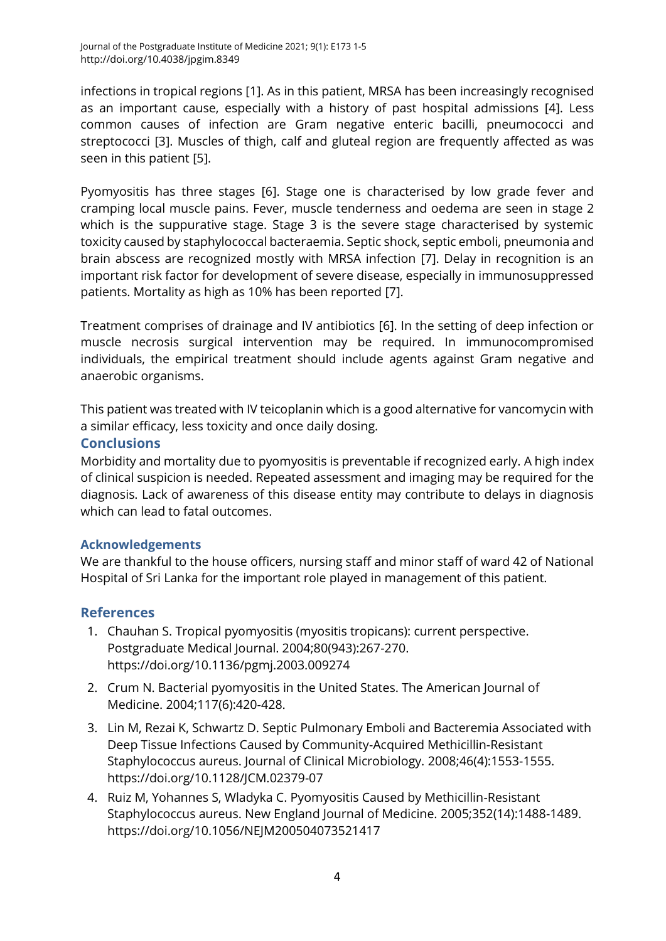infections in tropical regions [\[1\]](#page-3-0). As in this patient, MRSA has been increasingly recognised as an important cause, especially with a history of past hospital admissions [\[4\]](#page-3-2). Less common causes of infection are Gram negative enteric bacilli, pneumococci and streptococci [\[3\]](#page-3-3). Muscles of thigh, calf and gluteal region are frequently affected as was seen in this patient [\[5\]](#page-4-0).

Pyomyositis has three stages [\[6\]](#page-4-1). Stage one is characterised by low grade fever and cramping local muscle pains. Fever, muscle tenderness and oedema are seen in stage 2 which is the suppurative stage. Stage 3 is the severe stage characterised by systemic toxicity caused by staphylococcal bacteraemia. Septic shock, septic emboli, pneumonia and brain abscess are recognized mostly with MRSA infection [\[7\]](#page-4-2). Delay in recognition is an important risk factor for development of severe disease, especially in immunosuppressed patients. Mortality as high as 10% has been reported [\[7\]](#page-4-2).

Treatment comprises of drainage and IV antibiotics [\[6\]](#page-4-1). In the setting of deep infection or muscle necrosis surgical intervention may be required. In immunocompromised individuals, the empirical treatment should include agents against Gram negative and anaerobic organisms.

This patient was treated with IV teicoplanin which is a good alternative for vancomycin with a similar efficacy, less toxicity and once daily dosing.

## **Conclusions**

Morbidity and mortality due to pyomyositis is preventable if recognized early. A high index of clinical suspicion is needed. Repeated assessment and imaging may be required for the diagnosis. Lack of awareness of this disease entity may contribute to delays in diagnosis which can lead to fatal outcomes.

### **Acknowledgements**

We are thankful to the house officers, nursing staff and minor staff of ward 42 of National Hospital of Sri Lanka for the important role played in management of this patient.

## **References**

- <span id="page-3-0"></span>1. Chauhan S. Tropical pyomyositis (myositis tropicans): current perspective. Postgraduate Medical Journal. 2004;80(943):267-270. <https://doi.org/10.1136/pgmj.2003.009274>
- <span id="page-3-1"></span>2. Crum N. Bacterial pyomyositis in the United States. The American Journal of Medicine. 2004;117(6):420-428.
- <span id="page-3-3"></span>3. Lin M, Rezai K, Schwartz D. Septic Pulmonary Emboli and Bacteremia Associated with Deep Tissue Infections Caused by Community-Acquired Methicillin-Resistant Staphylococcus aureus. Journal of Clinical Microbiology. 2008;46(4):1553-1555. <https://doi.org/10.1128/JCM.02379-07>
- <span id="page-3-2"></span>4. Ruiz M, Yohannes S, Wladyka C. Pyomyositis Caused by Methicillin-Resistant Staphylococcus aureus. New England Journal of Medicine. 2005;352(14):1488-1489. <https://doi.org/10.1056/NEJM200504073521417>